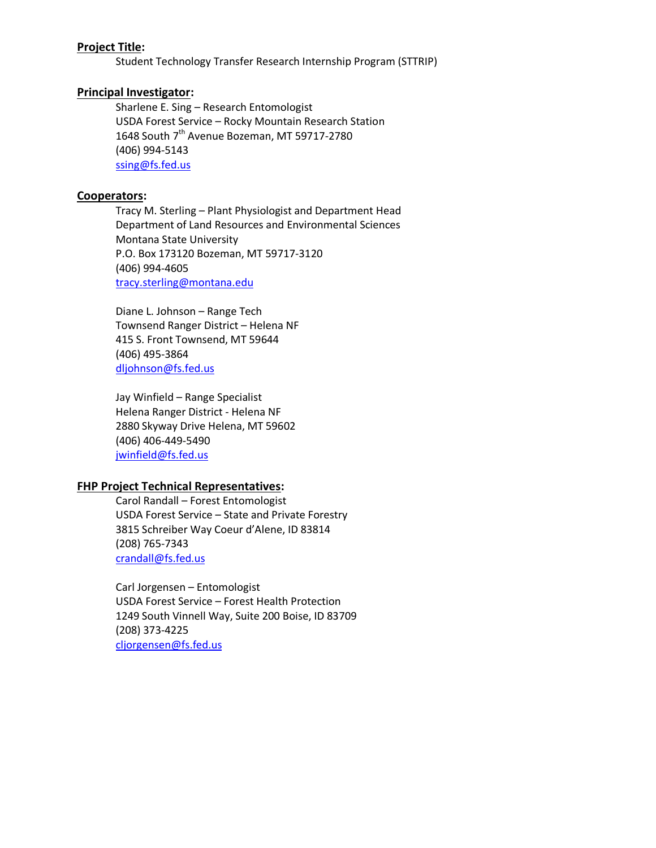## **Project Title:**

Student Technology Transfer Research Internship Program (STTRIP)

### **Principal Investigator:**

Sharlene E. Sing – Research Entomologist USDA Forest Service – Rocky Mountain Research Station 1648 South 7<sup>th</sup> Avenue Bozeman, MT 59717-2780 (406) 994-5143 [ssing@fs.fed.us](mailto:ssing@fs.fed.us)

### **Cooperators:**

Tracy M. Sterling – Plant Physiologist and Department Head Department of Land Resources and Environmental Sciences Montana State University P.O. Box 173120 Bozeman, MT 59717-3120 (406) 994-4605 [tracy.sterling@montana.edu](mailto:tracy.sterling@montana.edu)

Diane L. Johnson – Range Tech Townsend Ranger District – Helena NF 415 S. Front Townsend, MT 59644 (406) 495-3864 [dljohnson@fs.fed.us](mailto:dljohnson@fs.fed.us)

Jay Winfield – Range Specialist Helena Ranger District - Helena NF 2880 Skyway Drive Helena, MT 59602 (406) 406-449-5490 [jwinfield@fs.fed.us](mailto:jwinfield@fs.fed.us)

## **FHP Project Technical Representatives:**

Carol Randall – Forest Entomologist USDA Forest Service – State and Private Forestry 3815 Schreiber Way Coeur d'Alene, ID 83814 (208) 765-7343 [crandall@fs.fed.us](mailto:crandall@fs.fed.us)

Carl Jorgensen – Entomologist USDA Forest Service – Forest Health Protection 1249 South Vinnell Way, Suite 200 Boise, ID 83709 (208) 373-4225 [cljorgensen@fs.fed.us](mailto:cljorgensen@fs.fed.us)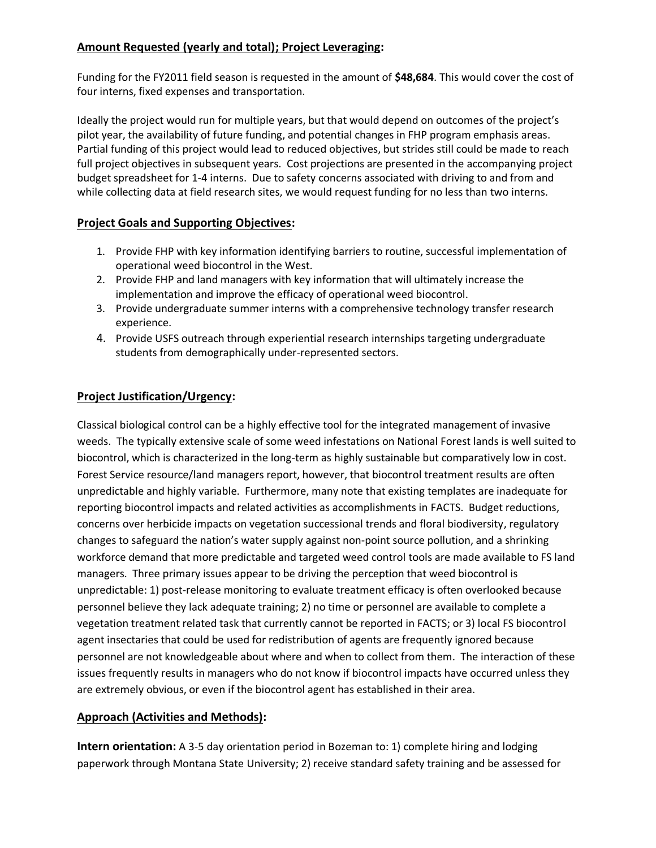# **Amount Requested (yearly and total); Project Leveraging:**

Funding for the FY2011 field season is requested in the amount of **\$48,684**. This would cover the cost of four interns, fixed expenses and transportation.

Ideally the project would run for multiple years, but that would depend on outcomes of the project's pilot year, the availability of future funding, and potential changes in FHP program emphasis areas. Partial funding of this project would lead to reduced objectives, but strides still could be made to reach full project objectives in subsequent years. Cost projections are presented in the accompanying project budget spreadsheet for 1-4 interns. Due to safety concerns associated with driving to and from and while collecting data at field research sites, we would request funding for no less than two interns.

# **Project Goals and Supporting Objectives:**

- 1. Provide FHP with key information identifying barriers to routine, successful implementation of operational weed biocontrol in the West.
- 2. Provide FHP and land managers with key information that will ultimately increase the implementation and improve the efficacy of operational weed biocontrol.
- 3. Provide undergraduate summer interns with a comprehensive technology transfer research experience.
- 4. Provide USFS outreach through experiential research internships targeting undergraduate students from demographically under-represented sectors.

# **Project Justification/Urgency:**

Classical biological control can be a highly effective tool for the integrated management of invasive weeds. The typically extensive scale of some weed infestations on National Forest lands is well suited to biocontrol, which is characterized in the long-term as highly sustainable but comparatively low in cost. Forest Service resource/land managers report, however, that biocontrol treatment results are often unpredictable and highly variable. Furthermore, many note that existing templates are inadequate for reporting biocontrol impacts and related activities as accomplishments in FACTS. Budget reductions, concerns over herbicide impacts on vegetation successional trends and floral biodiversity, regulatory changes to safeguard the nation's water supply against non-point source pollution, and a shrinking workforce demand that more predictable and targeted weed control tools are made available to FS land managers. Three primary issues appear to be driving the perception that weed biocontrol is unpredictable: 1) post-release monitoring to evaluate treatment efficacy is often overlooked because personnel believe they lack adequate training; 2) no time or personnel are available to complete a vegetation treatment related task that currently cannot be reported in FACTS; or 3) local FS biocontrol agent insectaries that could be used for redistribution of agents are frequently ignored because personnel are not knowledgeable about where and when to collect from them. The interaction of these issues frequently results in managers who do not know if biocontrol impacts have occurred unless they are extremely obvious, or even if the biocontrol agent has established in their area.

## **Approach (Activities and Methods):**

**Intern orientation:** A 3-5 day orientation period in Bozeman to: 1) complete hiring and lodging paperwork through Montana State University; 2) receive standard safety training and be assessed for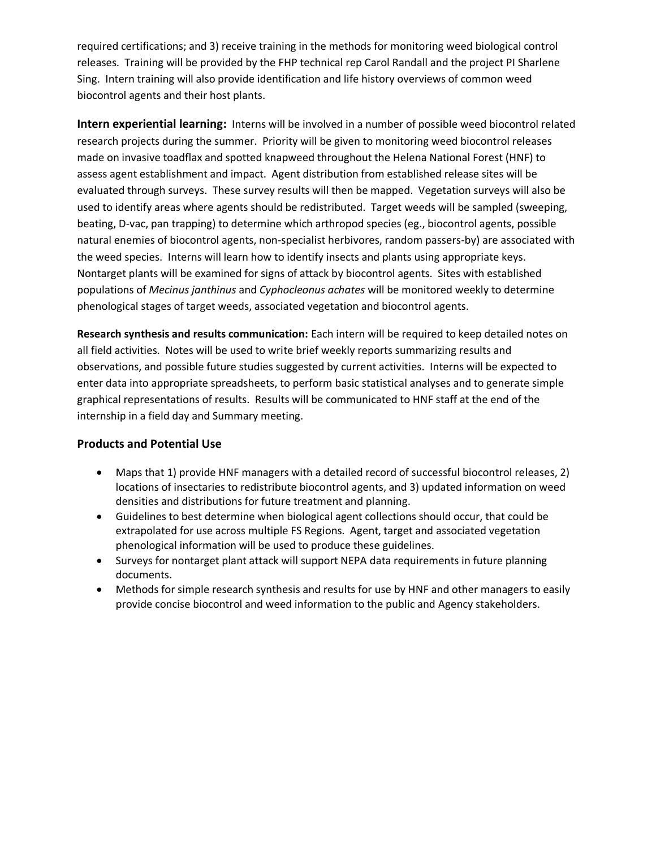required certifications; and 3) receive training in the methods for monitoring weed biological control releases. Training will be provided by the FHP technical rep Carol Randall and the project PI Sharlene Sing. Intern training will also provide identification and life history overviews of common weed biocontrol agents and their host plants.

**Intern experiential learning:** Interns will be involved in a number of possible weed biocontrol related research projects during the summer. Priority will be given to monitoring weed biocontrol releases made on invasive toadflax and spotted knapweed throughout the Helena National Forest (HNF) to assess agent establishment and impact. Agent distribution from established release sites will be evaluated through surveys. These survey results will then be mapped. Vegetation surveys will also be used to identify areas where agents should be redistributed. Target weeds will be sampled (sweeping, beating, D-vac, pan trapping) to determine which arthropod species (eg., biocontrol agents, possible natural enemies of biocontrol agents, non-specialist herbivores, random passers-by) are associated with the weed species. Interns will learn how to identify insects and plants using appropriate keys. Nontarget plants will be examined for signs of attack by biocontrol agents. Sites with established populations of *Mecinus janthinus* and *Cyphocleonus achates* will be monitored weekly to determine phenological stages of target weeds, associated vegetation and biocontrol agents.

**Research synthesis and results communication:** Each intern will be required to keep detailed notes on all field activities. Notes will be used to write brief weekly reports summarizing results and observations, and possible future studies suggested by current activities. Interns will be expected to enter data into appropriate spreadsheets, to perform basic statistical analyses and to generate simple graphical representations of results. Results will be communicated to HNF staff at the end of the internship in a field day and Summary meeting.

## **Products and Potential Use**

- Maps that 1) provide HNF managers with a detailed record of successful biocontrol releases, 2) locations of insectaries to redistribute biocontrol agents, and 3) updated information on weed densities and distributions for future treatment and planning.
- Guidelines to best determine when biological agent collections should occur, that could be extrapolated for use across multiple FS Regions. Agent, target and associated vegetation phenological information will be used to produce these guidelines.
- Surveys for nontarget plant attack will support NEPA data requirements in future planning documents.
- Methods for simple research synthesis and results for use by HNF and other managers to easily provide concise biocontrol and weed information to the public and Agency stakeholders.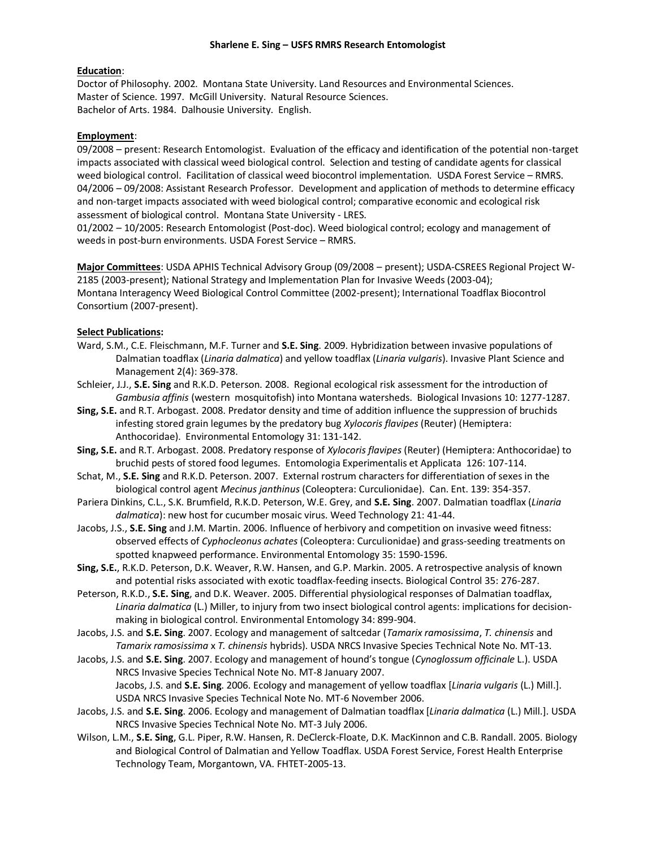#### **Education**:

Doctor of Philosophy. 2002. Montana State University. Land Resources and Environmental Sciences. Master of Science. 1997. McGill University. Natural Resource Sciences. Bachelor of Arts. 1984. Dalhousie University. English.

#### **Employment**:

09/2008 – present: Research Entomologist. Evaluation of the efficacy and identification of the potential non-target impacts associated with classical weed biological control. Selection and testing of candidate agents for classical weed biological control. Facilitation of classical weed biocontrol implementation. USDA Forest Service – RMRS. 04/2006 – 09/2008: Assistant Research Professor.Development and application of methods to determine efficacy and non-target impacts associated with weed biological control; comparative economic and ecological risk assessment of biological control.Montana State University - LRES.

01/2002 – 10/2005: Research Entomologist (Post-doc). Weed biological control; ecology and management of weeds in post-burn environments. USDA Forest Service – RMRS.

**Major Committees**: USDA APHIS Technical Advisory Group (09/2008 – present); USDA-CSREES Regional Project W-2185 (2003-present); National Strategy and Implementation Plan for Invasive Weeds (2003-04); Montana Interagency Weed Biological Control Committee (2002-present); International Toadflax Biocontrol Consortium (2007-present).

#### **Select Publications:**

- Ward, S.M., C.E. Fleischmann, M.F. Turner and **S.E. Sing**. 2009. Hybridization between invasive populations of Dalmatian toadflax (*Linaria dalmatica*) and yellow toadflax (*Linaria vulgaris*). Invasive Plant Science and Management 2(4): 369-378.
- Schleier, J.J., **S.E. Sing** and R.K.D. Peterson. 2008. Regional ecological risk assessment for the introduction of *Gambusia affinis* (western mosquitofish) into Montana watersheds. Biological Invasions 10: 1277-1287.
- **Sing, S.E.** and R.T. Arbogast. 2008. Predator density and time of addition influence the suppression of bruchids infesting stored grain legumes by the predatory bug *Xylocoris flavipes* (Reuter) (Hemiptera: Anthocoridae). Environmental Entomology 31: 131-142.
- **Sing, S.E.** and R.T. Arbogast. 2008. Predatory response of *Xylocoris flavipes* (Reuter) (Hemiptera: Anthocoridae) to bruchid pests of stored food legumes. Entomologia Experimentalis et Applicata 126: 107-114.
- Schat, M., **S.E. Sing** and R.K.D. Peterson. 2007. External rostrum characters for differentiation of sexes in the biological control agent *Mecinus janthinus* (Coleoptera: Curculionidae). Can. Ent. 139: 354-357.
- Pariera Dinkins, C.L., S.K. Brumfield, R.K.D. Peterson, W.E. Grey, and **S.E. Sing**. 2007. Dalmatian toadflax (*Linaria dalmatica*): new host for cucumber mosaic virus. Weed Technology 21: 41-44.
- Jacobs, J.S., **S.E. Sing** and J.M. Martin. 2006. Influence of herbivory and competition on invasive weed fitness: observed effects of *Cyphocleonus achates* (Coleoptera: Curculionidae) and grass-seeding treatments on spotted knapweed performance. Environmental Entomology 35: 1590-1596.
- **Sing, S.E.**, R.K.D. Peterson, D.K. Weaver, R.W. Hansen, and G.P. Markin. 2005. A retrospective analysis of known and potential risks associated with exotic toadflax-feeding insects. Biological Control 35: 276-287.
- Peterson, R.K.D., **S.E. Sing**, and D.K. Weaver. 2005. Differential physiological responses of Dalmatian toadflax, *Linaria dalmatica* (L.) Miller, to injury from two insect biological control agents: implications for decisionmaking in biological control. Environmental Entomology 34: 899-904.

Jacobs, J.S. and **S.E. Sing**. 2007. Ecology and management of saltcedar (*Tamarix ramosissima*, *T. chinensis* and *Tamarix ramosissima* x *T. chinensis* hybrids). USDA NRCS Invasive Species Technical Note No. MT-13.

- Jacobs, J.S. and **S.E. Sing**. 2007. Ecology and management of hound's tongue (*Cynoglossum officinale* L.). USDA NRCS Invasive Species Technical Note No. MT-8 January 2007. Jacobs, J.S. and **S.E. Sing**. 2006. Ecology and management of yellow toadflax [*Linaria vulgaris* (L.) Mill.].
- USDA NRCS Invasive Species Technical Note No. MT-6 November 2006. Jacobs, J.S. and **S.E. Sing**. 2006. Ecology and management of Dalmatian toadflax [*Linaria dalmatica* (L.) Mill.]. USDA NRCS Invasive Species Technical Note No. MT-3 July 2006.
- Wilson, L.M., **S.E. Sing**, G.L. Piper, R.W. Hansen, R. DeClerck-Floate, D.K. MacKinnon and C.B. Randall. 2005. Biology and Biological Control of Dalmatian and Yellow Toadflax. USDA Forest Service, Forest Health Enterprise Technology Team, Morgantown, VA. FHTET-2005-13.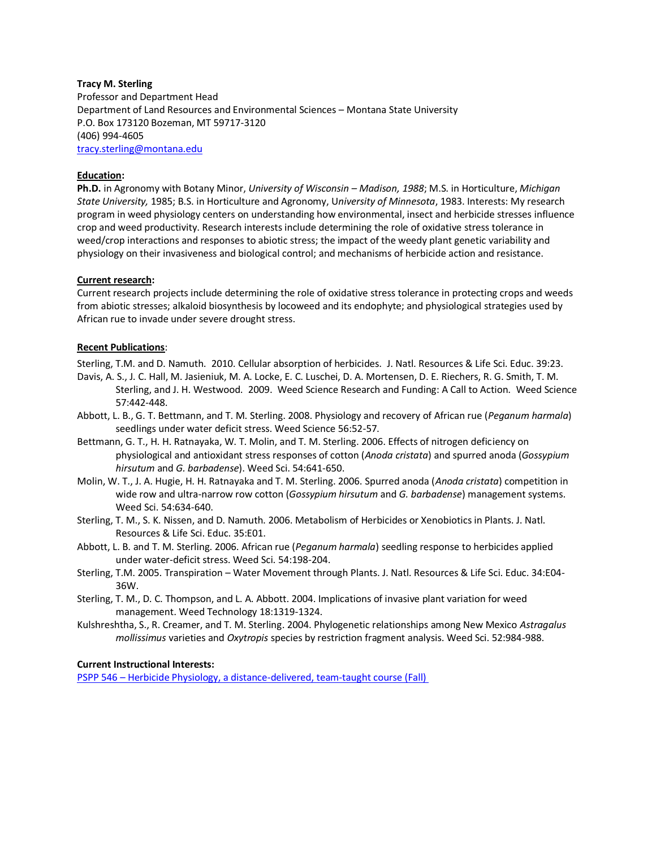#### **Tracy M. Sterling**

Professor and Department Head Department of Land Resources and Environmental Sciences – Montana State University P.O. Box 173120 Bozeman, MT 59717-3120 (406) 994-4605 [tracy.sterling@montana.edu](mailto:tracy.sterling@montana.edu)

#### **Education:**

**Ph.D.** in Agronomy with Botany Minor, *University of Wisconsin – Madison, 1988*; M.S. in Horticulture, *Michigan State University,* 1985; B.S. in Horticulture and Agronomy, U*niversity of Minnesota*, 1983. Interests: My research program in weed physiology centers on understanding how environmental, insect and herbicide stresses influence crop and weed productivity. Research interests include determining the role of oxidative stress tolerance in weed/crop interactions and responses to abiotic stress; the impact of the weedy plant genetic variability and physiology on their invasiveness and biological control; and mechanisms of herbicide action and resistance.

#### **Current research:**

Current research projects include determining the role of oxidative stress tolerance in protecting crops and weeds from abiotic stresses; alkaloid biosynthesis by locoweed and its endophyte; and physiological strategies used by African rue to invade under severe drought stress.

#### **Recent Publications**:

Sterling, T.M. and D. Namuth. 2010. Cellular absorption of herbicides. J. Natl. Resources & Life Sci. Educ. 39:23.

- Davis, A. S., J. C. Hall, M. Jasieniuk, M. A. Locke, E. C. Luschei, D. A. Mortensen, D. E. Riechers, R. G. Smith, T. M. Sterling, and J. H. Westwood. 2009. Weed Science Research and Funding: A Call to Action. Weed Science 57:442-448.
- Abbott, L. B., G. T. Bettmann, and T. M. Sterling. 2008. Physiology and recovery of African rue (*Peganum harmala*) seedlings under water deficit stress. Weed Science 56:52-57.
- Bettmann, G. T., H. H. Ratnayaka, W. T. Molin, and T. M. Sterling. 2006. Effects of nitrogen deficiency on physiological and antioxidant stress responses of cotton (*Anoda cristata*) and spurred anoda (*Gossypium hirsutum* and *G. barbadense*). Weed Sci. 54:641-650.
- Molin, W. T., J. A. Hugie, H. H. Ratnayaka and T. M. Sterling. 2006. Spurred anoda (*Anoda cristata*) competition in wide row and ultra-narrow row cotton (*Gossypium hirsutum* and *G. barbadense*) management systems. Weed Sci. 54:634-640.
- Sterling, T. M., S. K. Nissen, and D. Namuth. 2006. Metabolism of Herbicides or Xenobiotics in Plants. J. Natl. Resources & Life Sci. Educ. 35:E01.
- Abbott, L. B. and T. M. Sterling. 2006. African rue (*Peganum harmala*) seedling response to herbicides applied under water-deficit stress. Weed Sci. 54:198-204.
- Sterling, T.M. 2005. Transpiration Water Movement through Plants. J. Natl. Resources & Life Sci. Educ. 34:E04- 36W.
- Sterling, T. M., D. C. Thompson, and L. A. Abbott. 2004. Implications of invasive plant variation for weed management. Weed Technology 18:1319-1324.
- Kulshreshtha, S., R. Creamer, and T. M. Sterling. 2004. Phylogenetic relationships among New Mexico *Astragalus mollissimus* varieties and *Oxytropis* species by restriction fragment analysis. Weed Sci. 52:984-988.

#### **Current Instructional Interests:**

PSPP 546 – [Herbicide Physiology, a distance-delivered, team-taught course \(Fall\)](http://www.abrc.montana.edu/_test_/weedecoweb/facutly/william_dyer/PSPP%20546%20Syllabus.pdf)